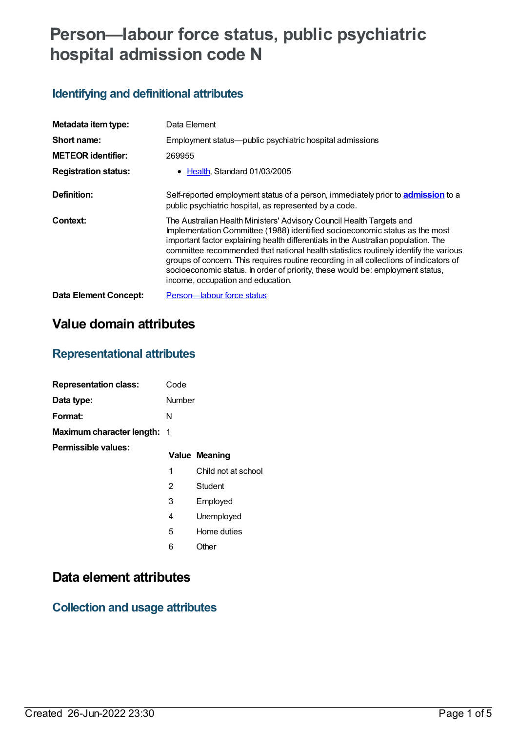# **Person—labour force status, public psychiatric hospital admission code N**

### **Identifying and definitional attributes**

| Metadata item type:         | Data Element                                                                                                                                                                                                                                                                                                                                                                                                                                                                                                                                       |
|-----------------------------|----------------------------------------------------------------------------------------------------------------------------------------------------------------------------------------------------------------------------------------------------------------------------------------------------------------------------------------------------------------------------------------------------------------------------------------------------------------------------------------------------------------------------------------------------|
| Short name:                 | Employment status—public psychiatric hospital admissions                                                                                                                                                                                                                                                                                                                                                                                                                                                                                           |
| <b>METEOR identifier:</b>   | 269955                                                                                                                                                                                                                                                                                                                                                                                                                                                                                                                                             |
| <b>Registration status:</b> | • Health, Standard 01/03/2005                                                                                                                                                                                                                                                                                                                                                                                                                                                                                                                      |
| Definition:                 | Self-reported employment status of a person, immediately prior to admission to a<br>public psychiatric hospital, as represented by a code.                                                                                                                                                                                                                                                                                                                                                                                                         |
| Context:                    | The Australian Health Ministers' Advisory Council Health Targets and<br>Implementation Committee (1988) identified socioeconomic status as the most<br>important factor explaining health differentials in the Australian population. The<br>committee recommended that national health statistics routinely identify the various<br>groups of concern. This requires routine recording in all collections of indicators of<br>socioeconomic status. In order of priority, these would be: employment status,<br>income, occupation and education. |
| Data Element Concept:       | Person-labour force status                                                                                                                                                                                                                                                                                                                                                                                                                                                                                                                         |

## **Value domain attributes**

## **Representational attributes**

| <b>Representation class:</b>       | Code   |                      |
|------------------------------------|--------|----------------------|
| Data type:                         | Number |                      |
| Format:                            | N      |                      |
| <b>Maximum character length: 1</b> |        |                      |
| Permissible values:                |        | <b>Value Meaning</b> |
|                                    | 1      | Child not at school  |
|                                    | 2      | Student              |
|                                    | 3      | Employed             |
|                                    | 4      | Unemployed           |
|                                    | 5      | Home duties          |
|                                    | 6      | Other                |
|                                    |        |                      |

## **Data element attributes**

### **Collection and usage attributes**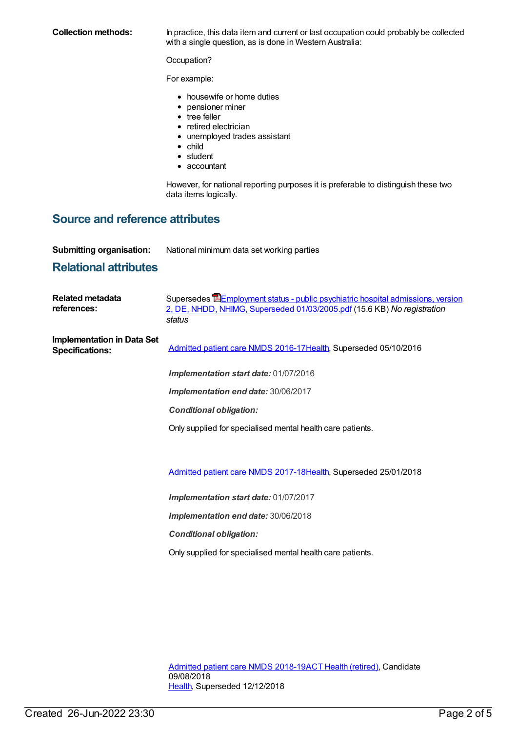**Collection methods:** In practice, this data item and current or last occupation could probably be collected with a single question, as is done in Western Australia:

Occupation?

For example:

- housewife or home duties
- pensioner miner
- tree feller
- retired electrician
- unemployed trades assistant
- $\bullet$  child
- student
- accountant

However, for national reporting purposes it is preferable to distinguish these two data items logically.

#### **Source and reference attributes**

**Submitting organisation:** National minimum data set working parties

#### **Relational attributes**

| Related metadata<br>references:                             | Supersedes EEmployment status - public psychiatric hospital admissions, version<br>2, DE, NHDD, NHIMG, Superseded 01/03/2005.pdf (15.6 KB) No registration<br>status |
|-------------------------------------------------------------|----------------------------------------------------------------------------------------------------------------------------------------------------------------------|
| <b>Implementation in Data Set</b><br><b>Specifications:</b> | Admitted patient care NMDS 2016-17 Health, Superseded 05/10/2016                                                                                                     |
|                                                             | Implementation start date: 01/07/2016                                                                                                                                |
|                                                             | Implementation end date: 30/06/2017                                                                                                                                  |
|                                                             | <b>Conditional obligation:</b>                                                                                                                                       |
|                                                             | Only supplied for specialised mental health care patients.                                                                                                           |
|                                                             |                                                                                                                                                                      |
|                                                             | Admitted patient care NMDS 2017-18Health, Superseded 25/01/2018                                                                                                      |
|                                                             | Implementation start date: 01/07/2017                                                                                                                                |
|                                                             | Implementation end date: 30/06/2018                                                                                                                                  |
|                                                             | <b>Conditional obligation:</b>                                                                                                                                       |

Only supplied for specialised mental health care patients.

[Admitted](https://meteor.aihw.gov.au/content/676382) patient care NMDS 2018-19ACT Health [\(retired\)](https://meteor.aihw.gov.au/RegistrationAuthority/9), Candidate 09/08/2018 [Health](https://meteor.aihw.gov.au/RegistrationAuthority/12), Superseded 12/12/2018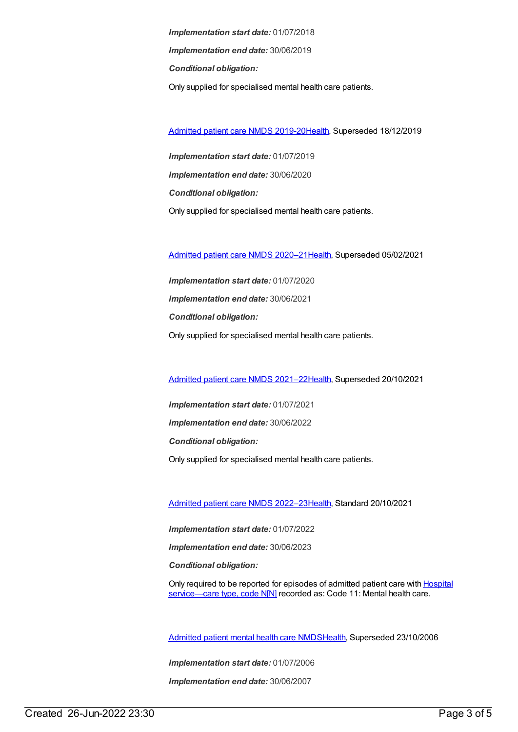*Implementation start date:* 01/07/2018 *Implementation end date:* 30/06/2019 *Conditional obligation:* Only supplied for specialised mental health care patients.

[Admitted](https://meteor.aihw.gov.au/content/699728) patient care NMDS 2019-20[Health](https://meteor.aihw.gov.au/RegistrationAuthority/12), Superseded 18/12/2019

*Implementation start date:* 01/07/2019 *Implementation end date:* 30/06/2020 *Conditional obligation:* Only supplied for specialised mental health care patients.

[Admitted](https://meteor.aihw.gov.au/content/713850) patient care NMDS 2020–2[1Health](https://meteor.aihw.gov.au/RegistrationAuthority/12), Superseded 05/02/2021

*Implementation start date:* 01/07/2020 *Implementation end date:* 30/06/2021 *Conditional obligation:* Only supplied for specialised mental health care patients.

[Admitted](https://meteor.aihw.gov.au/content/728439) patient care NMDS 2021–2[2Health](https://meteor.aihw.gov.au/RegistrationAuthority/12), Superseded 20/10/2021

*Implementation start date:* 01/07/2021 *Implementation end date:* 30/06/2022 *Conditional obligation:* Only supplied for specialised mental health care patients.

[Admitted](https://meteor.aihw.gov.au/content/742173) patient care NMDS 2022–2[3Health](https://meteor.aihw.gov.au/RegistrationAuthority/12), Standard 20/10/2021

*Implementation start date:* 01/07/2022

*Implementation end date:* 30/06/2023

*Conditional obligation:*

Only required to be reported for episodes of admitted patient care with **Hospital** [service—care](file:///content/711010) type, code N[N] recorded as: Code 11: Mental health care.

[Admitted](https://meteor.aihw.gov.au/content/334031) patient mental health care NMD[SHealth](https://meteor.aihw.gov.au/RegistrationAuthority/12), Superseded 23/10/2006

*Implementation start date:* 01/07/2006

*Implementation end date:* 30/06/2007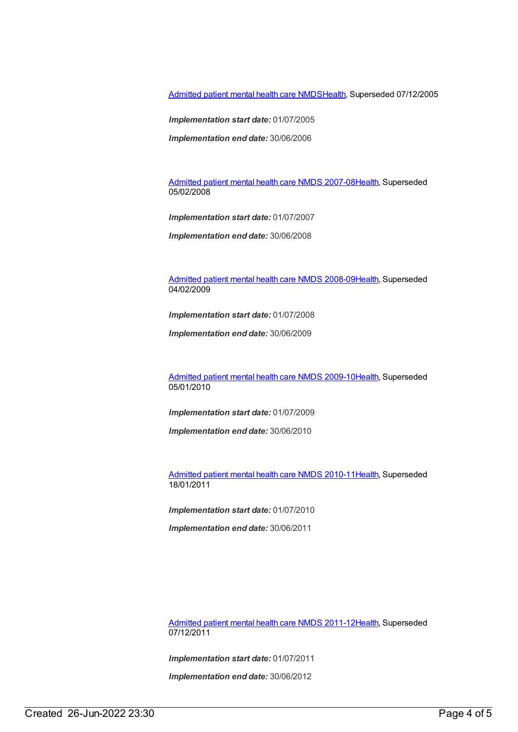[Admitted](https://meteor.aihw.gov.au/content/273048) patient mental health care NMD[SHealth](https://meteor.aihw.gov.au/RegistrationAuthority/12), Superseded 07/12/2005

*Implementation start date:* 01/07/2005

*Implementation end date:* 30/06/2006

[Admitted](https://meteor.aihw.gov.au/content/345110) patient mental health care NMDS 2007-08[Health](https://meteor.aihw.gov.au/RegistrationAuthority/12), Superseded 05/02/2008

*Implementation start date:* 01/07/2007

*Implementation end date:* 30/06/2008

[Admitted](https://meteor.aihw.gov.au/content/362305) patient mental health care NMDS 2008-09[Health](https://meteor.aihw.gov.au/RegistrationAuthority/12), Superseded 04/02/2009

*Implementation start date:* 01/07/2008

*Implementation end date:* 30/06/2009

[Admitted](https://meteor.aihw.gov.au/content/374207) patient mental health care NMDS 2009-10[Health](https://meteor.aihw.gov.au/RegistrationAuthority/12), Superseded 05/01/2010

*Implementation start date:* 01/07/2009

*Implementation end date:* 30/06/2010

[Admitted](https://meteor.aihw.gov.au/content/386799) patient mental health care NMDS 2010-11[Health](https://meteor.aihw.gov.au/RegistrationAuthority/12), Superseded 18/01/2011

*Implementation start date:* 01/07/2010

*Implementation end date:* 30/06/2011

[Admitted](https://meteor.aihw.gov.au/content/426872) patient mental health care NMDS 2011-12[Health](https://meteor.aihw.gov.au/RegistrationAuthority/12), Superseded 07/12/2011

*Implementation start date:* 01/07/2011

*Implementation end date:* 30/06/2012